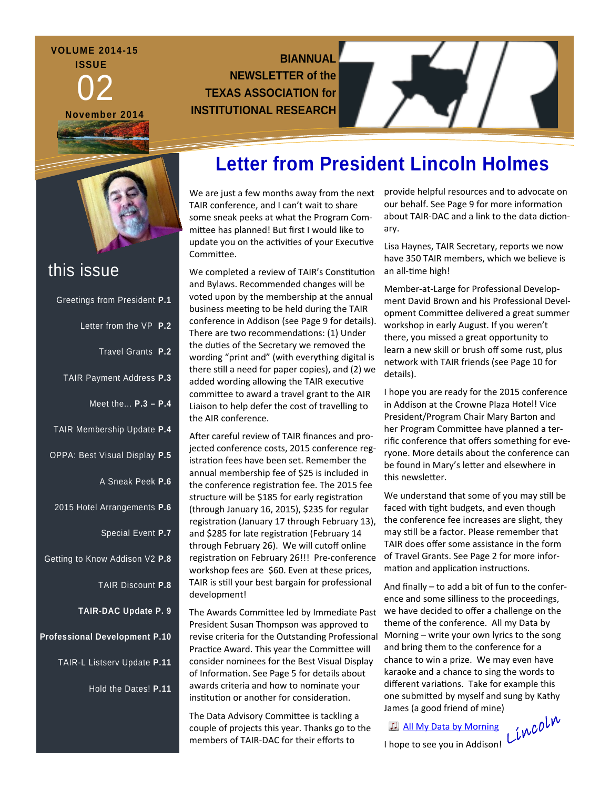### **VOLUME 2014-15 ISSUE**

02

**November 2014** 

I am excited to the tell your property

**BIANNUAL NEWSLETTER of the TEXAS ASSOCIATION for INSTITUTIONAL RESEARCH** 

## this issue

| Greetings from President P.1         |
|--------------------------------------|
| Letter from the VP P.2               |
| Travel Grants P.2                    |
| TAIR Payment Address P.3             |
| Meet the P.3 - P.4                   |
| TAIR Membership Update P.4           |
| OPPA: Best Visual Display P.5        |
| A Sneak Peek P.6                     |
| 2015 Hotel Arrangements P.6          |
| Special Event P.7                    |
| Getting to Know Addison V2 P.8       |
| TAIR Discount P.8                    |
| <b>TAIR-DAC Update P. 9</b>          |
| <b>Professional Development P.10</b> |
| TAIR-L Listserv Update P.11          |
| Hold the Dates! P.11                 |
|                                      |

# **Letter from President Lincoln Holmes**

TAIR conference, and I can't wait to share some sneak peeks at what the Program Com‐ mittee has planned! But first I would like to update you on the activities of your Executive Committee.

We completed a review of TAIR's Constitution and Bylaws. Recommended changes will be voted upon by the membership at the annual business meeting to be held during the TAIR conference in Addison (see Page 9 for details). There are two recommendations: (1) Under the duties of the Secretary we removed the wording "print and" (with everything digital is there still a need for paper copies), and (2) we added wording allowing the TAIR executive committee to award a travel grant to the AIR Liaison to help defer the cost of travelling to the AIR conference.

After careful review of TAIR finances and projected conference costs, 2015 conference registration fees have been set. Remember the annual membership fee of \$25 is included in the conference registration fee. The 2015 fee structure will be \$185 for early registration (through January 16, 2015), \$235 for regular registration (January 17 through February 13), and \$285 for late registration (February 14 through February 26). We will cutoff online registration on February 26!!! Pre-conference workshop fees are \$60. Even at these prices, TAIR is still your best bargain for professional development!

The Awards Committee led by Immediate Past President Susan Thompson was approved to revise criteria for the Outstanding Professional Practice Award. This year the Committee will consider nominees for the Best Visual Display of Information. See Page 5 for details about awards criteria and how to nominate your institution or another for consideration.

The Data Advisory Committee is tackling a couple of projects this year. Thanks go to the members of TAIR‐DAC for their efforts to

We are just a few months away from the next provide helpful resources and to advocate on our behalf. See Page 9 for more information about TAIR-DAC and a link to the data dictionary.

> Lisa Haynes, TAIR Secretary, reports we now have 350 TAIR members, which we believe is an all-time high!

Member‐at‐Large for Professional Develop‐ ment David Brown and his Professional Devel‐ opment Committee delivered a great summer workshop in early August. If you weren't there, you missed a great opportunity to learn a new skill or brush off some rust, plus network with TAIR friends (see Page 10 for details).

I hope you are ready for the 2015 conference in Addison at the Crowne Plaza Hotel! Vice President/Program Chair Mary Barton and her Program Committee have planned a terrific conference that offers something for eve‐ ryone. More details about the conference can be found in Mary's letter and elsewhere in this newsletter.

We understand that some of you may still be faced with tight budgets, and even though the conference fee increases are slight, they may still be a factor. Please remember that TAIR does offer some assistance in the form of Travel Grants. See Page 2 for more infor‐ mation and application instructions.

And finally – to add a bit of fun to the confer‐ ence and some silliness to the proceedings, we have decided to offer a challenge on the theme of the conference. All my Data by Morning – write your own lyrics to the song and bring them to the conference for a chance to win a prize. We may even have karaoke and a chance to sing the words to different variations. Take for example this one submitted by myself and sung by Kathy James (a good friend of mine)

**All My Data by [Morning](http://texas-air.org/conference/2015/All_My_Data_3.m4a) Lincoln**<br>I hope to see you in Addison! Lincolnu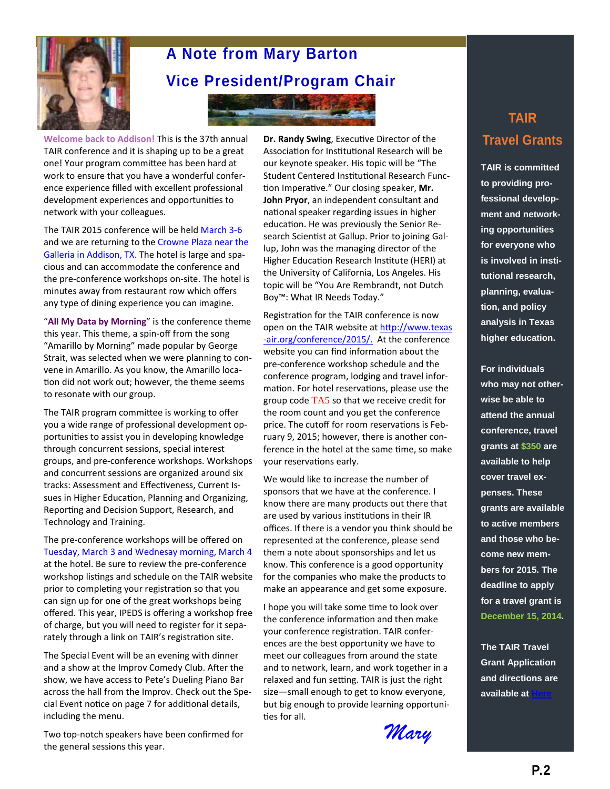

# **A Note from Mary Barton Vice President/Program Chair**

**KINDRE** 

**Welcome back to Addison!** This is the 37th annual TAIR conference and it is shaping up to be a great one! Your program committee has been hard at work to ensure that you have a wonderful confer‐ ence experience filled with excellent professional development experiences and opportunities to network with your colleagues.

The TAIR 2015 conference will be held March 3‐6 and we are returning to the Crowne Plaza near the Galleria in Addison, TX. The hotel is large and spa‐ cious and can accommodate the conference and the pre-conference workshops on-site. The hotel is minutes away from restaurant row which offers any type of dining experience you can imagine.

"**All My Data by Morning**" is the conference theme this year. This theme, a spin‐off from the song "Amarillo by Morning" made popular by George Strait, was selected when we were planning to con‐ vene in Amarillo. As you know, the Amarillo loca‐ tion did not work out; however, the theme seems to resonate with our group.

The TAIR program committee is working to offer you a wide range of professional development op‐ portunities to assist you in developing knowledge through concurrent sessions, special interest groups, and pre‐conference workshops. Workshops and concurrent sessions are organized around six tracks: Assessment and Effectiveness, Current Issues in Higher Education, Planning and Organizing, Reporting and Decision Support, Research, and Technology and Training.

The pre‐conference workshops will be offered on Tuesday, March 3 and Wednesay morning, March 4 at the hotel. Be sure to review the pre‐conference workshop listings and schedule on the TAIR website prior to completing your registration so that you can sign up for one of the great workshops being offered. This year, IPEDS is offering a workshop free of charge, but you will need to register for it sepa‐ rately through a link on TAIR's registration site.

The Special Event will be an evening with dinner and a show at the Improv Comedy Club. After the show, we have access to Pete's Dueling Piano Bar across the hall from the Improv. Check out the Spe‐ cial Event notice on page 7 for additional details, including the menu.

Two top‐notch speakers have been confirmed for the general sessions this year.

**Dr. Randy Swing, Executive Director of the** Association for Institutional Research will be our keynote speaker. His topic will be "The Student Centered Institutional Research Function Imperative." Our closing speaker, Mr. **John Pryor**, an independent consultant and national speaker regarding issues in higher education. He was previously the Senior Research Scientist at Gallup. Prior to joining Gallup, John was the managing director of the Higher Education Research Institute (HERI) at the University of California, Los Angeles. His topic will be "You Are Rembrandt, not Dutch Boy™: What IR Needs Today."

Registration for the TAIR conference is now open on the TAIR website at http://www.texas -[air.org/conference/2015/.](http://www.texas-air.org/conference/2015/) At the conference website you can find information about the pre‐conference workshop schedule and the conference program, lodging and travel infor‐ mation. For hotel reservations, please use the group code TA5 so that we receive credit for the room count and you get the conference price. The cutoff for room reservations is February 9, 2015; however, there is another con‐ ference in the hotel at the same time, so make your reservations early.

We would like to increase the number of sponsors that we have at the conference. I know there are many products out there that are used by various institutions in their IR offices. If there is a vendor you think should be represented at the conference, please send them a note about sponsorships and let us know. This conference is a good opportunity for the companies who make the products to make an appearance and get some exposure.

I hope you will take some time to look over the conference information and then make your conference registraƟon. TAIR confer‐ ences are the best opportunity we have to meet our colleagues from around the state and to network, learn, and work together in a relaxed and fun setting. TAIR is just the right size—small enough to get to know everyone, but big enough to provide learning opportuni‐ ties for all.

*Mary* 

## **TAIR Travel Grants**

**TAIR is committed to providing professional development and networking opportunities for everyone who is involved in institutional research, planning, evaluation, and policy analysis in Texas higher education.** 

**For individuals who may not otherwise be able to attend the annual conference, travel grants at \$350 are available to help cover travel expenses. These grants are available to active members and those who become new members for 2015. The deadline to apply for a travel grant is December 15, 2014.** 

**The TAIR Travel Grant Application and directions are available at**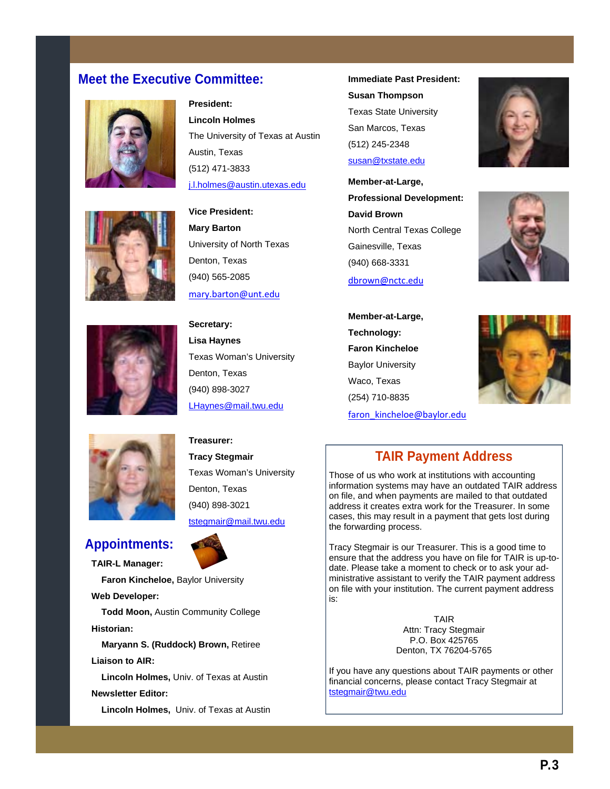### **Meet the Executive Committee: Immediate Past President:**







**President: Lincoln Holmes**  The University of Texas at Austin Austin, Texas (512) 471-3833 j.l.holmes@austin.utexas.edu

**Vice President: Mary Barton**  University of North Texas Denton, Texas (940) 565-2085 mary.barton@unt.edu

**Secretary: Lisa Haynes**  Texas Woman's University Denton, Texas (940) 898-3027 LHaynes@mail.twu.edu

**Treasurer: Tracy Stegmair** 

Texas Woman's University Denton, Texas (940) 898-3021 tstegmair@mail.twu.edu

## **Appointments:**

**TAIR-L Manager:** 

 **Faron Kincheloe,** Baylor University

**Web Developer:** 

 **Todd Moon,** Austin Community College **Historian:** 

 **Maryann S. (Ruddock) Brown,** Retiree **Liaison to AIR:** 

 **Lincoln Holmes,** Univ. of Texas at Austin

### **Newsletter Editor:**

 **Lincoln Holmes,** Univ. of Texas at Austin

**Susan Thompson**  Texas State University San Marcos, Texas (512) 245-2348 susan@txstate.edu

**Member-at-Large, Professional Development: David Brown**  North Central Texas College Gainesville, Texas (940) 668-3331

dbrown@nctc.edu

**Member-at-Large, Technology: Faron Kincheloe**  Baylor University Waco, Texas (254) 710-8835 faron\_kincheloe@baylor.edu







### **TAIR Payment Address**

Those of us who work at institutions with accounting information systems may have an outdated TAIR address on file, and when payments are mailed to that outdated address it creates extra work for the Treasurer. In some cases, this may result in a payment that gets lost during the forwarding process.

Tracy Stegmair is our Treasurer. This is a good time to ensure that the address you have on file for TAIR is up-todate. Please take a moment to check or to ask your administrative assistant to verify the TAIR payment address on file with your institution. The current payment address is:

> TAIR Attn: Tracy Stegmair P.O. Box 425765 Denton, TX 76204-5765

If you have any questions about TAIR payments or other financial concerns, please contact Tracy Stegmair at tstegmair@twu.edu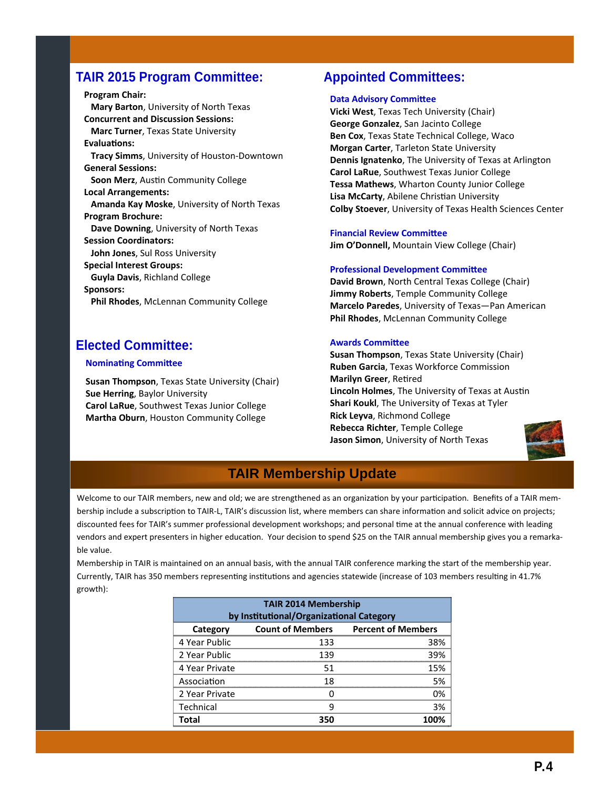### **TAIR 2015 Program Committee:**

**Program Chair: Mary Barton**, University of North Texas **Concurrent and Discussion Sessions: Marc Turner**, Texas State University **EvaluaƟons: Tracy Simms**, University of Houston‐Downtown **General Sessions: Soon Merz**, AusƟn Community College **Local Arrangements: Amanda Kay Moske**, University of North Texas **Program Brochure: Dave Downing**, University of North Texas **Session Coordinators: John Jones**, Sul Ross University **Special Interest Groups: Guyla Davis**, Richland College **Sponsors: Phil Rhodes**, McLennan Community College

## **Elected Committee:**

#### **Nominating Committee**

**Susan Thompson**, Texas State University (Chair) **Sue Herring**, Baylor University **Carol LaRue**, Southwest Texas Junior College **Martha Oburn**, Houston Community College

### **Appointed Committees:**

### **Data Advisory Committee**

**Vicki West**, Texas Tech University (Chair) **George Gonzalez**, San Jacinto College **Ben Cox**, Texas State Technical College, Waco **Morgan Carter**, Tarleton State University **Dennis Ignatenko**, The University of Texas at Arlington **Carol LaRue**, Southwest Texas Junior College **Tessa Mathews**, Wharton County Junior College **Lisa McCarty, Abilene Christian University Colby Stoever**, University of Texas Health Sciences Center

### **Financial Review Committee**

**Jim O'Donnell,** Mountain View College (Chair)

#### **Professional Development Committee**

**David Brown**, North Central Texas College (Chair) **Jimmy Roberts**, Temple Community College **Marcelo Paredes**, University of Texas—Pan American **Phil Rhodes**, McLennan Community College

### **Awards CommiƩee**

**Susan Thompson**, Texas State University (Chair) **Ruben Garcia**, Texas Workforce Commission **Marilyn Greer**, Retired **Lincoln Holmes, The University of Texas at Austin Shari Koukl**, The University of Texas at Tyler **Rick Leyva**, Richmond College **Rebecca Richter**, Temple College **Jason Simon**, University of North Texas



## **TAIR Membership Update**

Welcome to our TAIR members, new and old; we are strengthened as an organization by your participation. Benefits of a TAIR membership include a subscription to TAIR-L, TAIR's discussion list, where members can share information and solicit advice on projects; discounted fees for TAIR's summer professional development workshops; and personal time at the annual conference with leading vendors and expert presenters in higher education. Your decision to spend \$25 on the TAIR annual membership gives you a remarkable value.

Membership in TAIR is maintained on an annual basis, with the annual TAIR conference marking the start of the membership year. Currently, TAIR has 350 members representing institutions and agencies statewide (increase of 103 members resulting in 41.7% growth):

| <b>TAIR 2014 Membership</b><br>by Institutional/Organizational Category |                         |                           |  |
|-------------------------------------------------------------------------|-------------------------|---------------------------|--|
| Category                                                                | <b>Count of Members</b> | <b>Percent of Members</b> |  |
| 4 Year Public                                                           | 133                     | 38%                       |  |
| 2 Year Public                                                           | 139                     | 39%                       |  |
| 4 Year Private                                                          | 51                      | 15%                       |  |
| Association                                                             | 18                      | 5%                        |  |
| 2 Year Private                                                          |                         | 0%                        |  |
| Technical                                                               | q                       | 3%                        |  |
| Total                                                                   | 350                     |                           |  |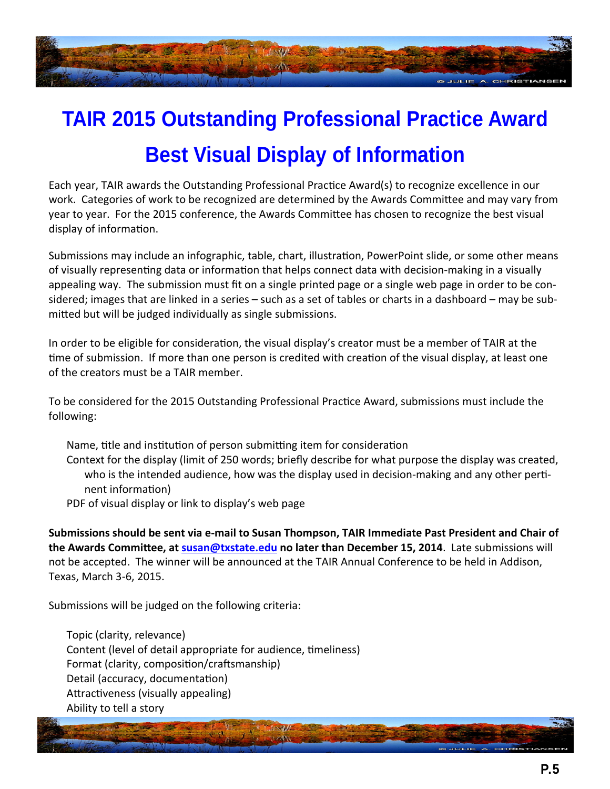

# **TAIR 2015 Outstanding Professional Practice Award Best Visual Display of Information**

Each year, TAIR awards the Outstanding Professional Practice Award(s) to recognize excellence in our work. Categories of work to be recognized are determined by the Awards Committee and may vary from year to year. For the 2015 conference, the Awards Committee has chosen to recognize the best visual display of information.

Submissions may include an infographic, table, chart, illustration, PowerPoint slide, or some other means of visually representing data or information that helps connect data with decision-making in a visually appealing way. The submission must fit on a single printed page or a single web page in order to be considered; images that are linked in a series – such as a set of tables or charts in a dashboard – may be sub‐ mitted but will be judged individually as single submissions.

In order to be eligible for consideration, the visual display's creator must be a member of TAIR at the time of submission. If more than one person is credited with creation of the visual display, at least one of the creators must be a TAIR member.

To be considered for the 2015 Outstanding Professional Practice Award, submissions must include the following:

Name, title and institution of person submitting item for consideration Context for the display (limit of 250 words; briefly describe for what purpose the display was created, who is the intended audience, how was the display used in decision-making and any other pertinent information)

PDF of visual display or link to display's web page

Submissions should be sent via e-mail to Susan Thompson, TAIR Immediate Past President and Chair of **the Awards CommiƩee, at susan@txstate.edu no later than December 15, 2014**. Late submissions will not be accepted. The winner will be announced at the TAIR Annual Conference to be held in Addison, Texas, March 3‐6, 2015.

Submissions will be judged on the following criteria:

Topic (clarity, relevance) Content (level of detail appropriate for audience, timeliness) Format (clarity, composition/craftsmanship) Detail (accuracy, documentation) Attractiveness (visually appealing) Ability to tell a story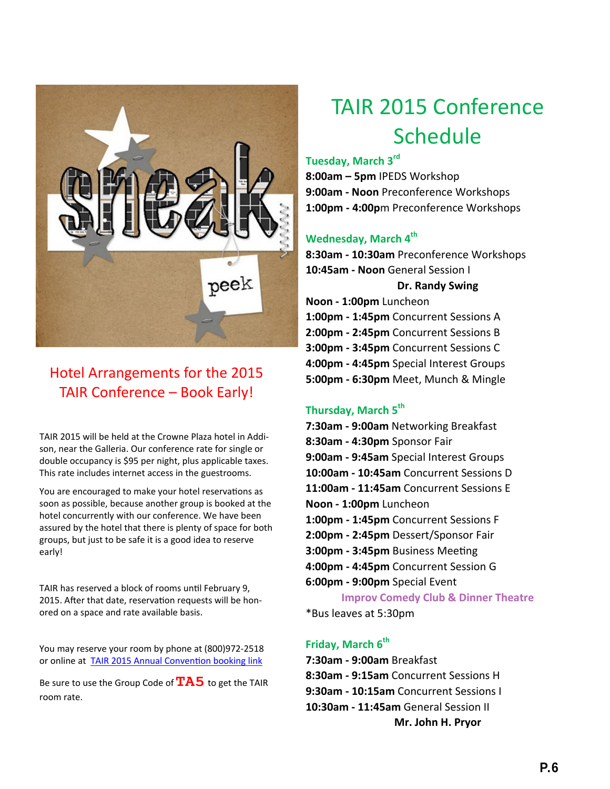

## Hotel Arrangements for the 2015 TAIR Conference – Book Early!

TAIR 2015 will be held at the Crowne Plaza hotel in Addi‐ son, near the Galleria. Our conference rate for single or double occupancy is \$95 per night, plus applicable taxes. This rate includes internet access in the guestrooms.

You are encouraged to make your hotel reservations as soon as possible, because another group is booked at the hotel concurrently with our conference. We have been assured by the hotel that there is plenty of space for both groups, but just to be safe it is a good idea to reserve early!

TAIR has reserved a block of rooms until February 9, 2015. After that date, reservation requests will be honored on a space and rate available basis.

You may reserve your room by phone at (800)972‐2518 or online at TAIR 2015 Annual Convention [booking](http://www.crowneplaza.com/redirect?path=asearch&brandCode=cp&localeCode=en®ionCode=1&hotelCode=Dalad&checkInDate=02&checkInMonthYear=022015&checkOutDate=06&checkOutMonthYear=022015&numberOfAdults=2&numberOfChildren=1&numberOfRooms=1&rateCode=6CBARC&_PM) link

Be sure to use the Group Code of**TA5** to get the TAIR room rate.

# TAIR 2015 Conference Schedule

**Tuesday, March 3rd**

**8:00am – 5pm** IPEDS Workshop **9:00am ‐ Noon** Preconference Workshops **1:00pm ‐ 4:00p**m Preconference Workshops

### **Wednesday, March 4th**

**8:30am ‐ 10:30am** Preconference Workshops **10:45am ‐ Noon** General Session I **Dr. Randy Swing**

**Noon ‐ 1:00pm** Luncheon **1:00pm ‐ 1:45pm** Concurrent Sessions A **2:00pm ‐ 2:45pm** Concurrent Sessions B **3:00pm ‐ 3:45pm** Concurrent Sessions C **4:00pm ‐ 4:45pm** Special Interest Groups **5:00pm ‐ 6:30pm** Meet, Munch & Mingle

### **Thursday, March 5th**

**7:30am ‐ 9:00am** Networking Breakfast **8:30am ‐ 4:30pm** Sponsor Fair **9:00am ‐ 9:45am** Special Interest Groups **10:00am ‐ 10:45am** Concurrent Sessions D **11:00am ‐ 11:45am** Concurrent Sessions E **Noon ‐ 1:00pm** Luncheon **1:00pm ‐ 1:45pm** Concurrent Sessions F **2:00pm ‐ 2:45pm** Dessert/Sponsor Fair **3:00pm - 3:45pm** Business Meeting **4:00pm ‐ 4:45pm** Concurrent Session G **6:00pm ‐ 9:00pm** Special Event **Improv Comedy Club & Dinner Theatre**

\*Bus leaves at 5:30pm

## **Friday, March 6<sup>th</sup>**

**7:30am ‐ 9:00am** Breakfast **8:30am ‐ 9:15am** Concurrent Sessions H **9:30am ‐ 10:15am** Concurrent Sessions I **10:30am ‐ 11:45am** General Session II **Mr. John H. Pryor**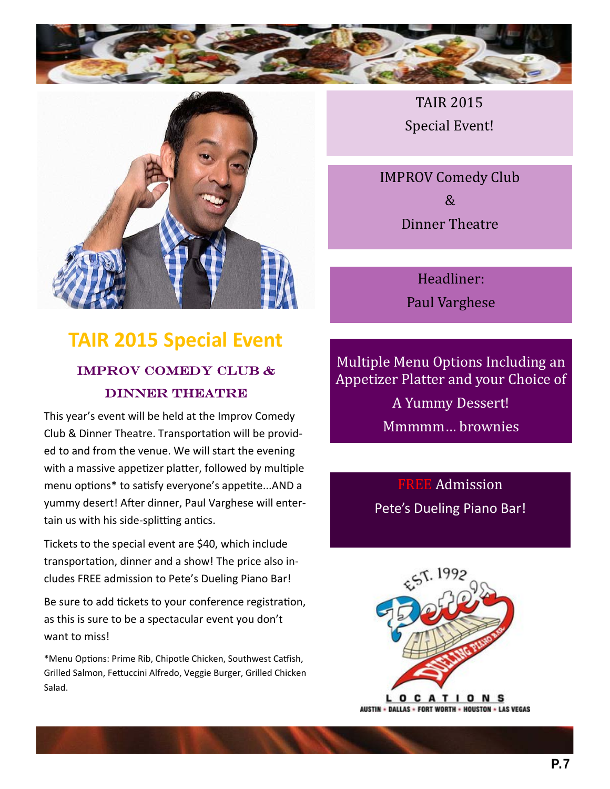



# **TAIR 2015 Special Event** improv comedy club & DINNER THEATRE

This year's event will be held at the Improv Comedy Club & Dinner Theatre. Transportation will be provided to and from the venue. We will start the evening with a massive appetizer platter, followed by multiple menu options\* to satisfy everyone's appetite...AND a yummy desert! After dinner, Paul Varghese will entertain us with his side-splitting antics.

Tickets to the special event are \$40, which include transportation, dinner and a show! The price also includes FREE admission to Pete's Dueling Piano Bar!

Be sure to add tickets to your conference registration, as this is sure to be a spectacular event you don't want to miss!

\*Menu Options: Prime Rib, Chipotle Chicken, Southwest Catfish, Grilled Salmon, Fettuccini Alfredo, Veggie Burger, Grilled Chicken Salad.

TAIR 2015 Special Event!

**IMPROV Comedy Club**  $\mathcal{R}$ Dinner Theatre

> Headliner: Paul Varghese

Multiple Menu Options Including an Appetizer Platter and your Choice of A Yummy Dessert! Mmmmm… brownies 

> FREE Admission Pete's Dueling Piano Bar!

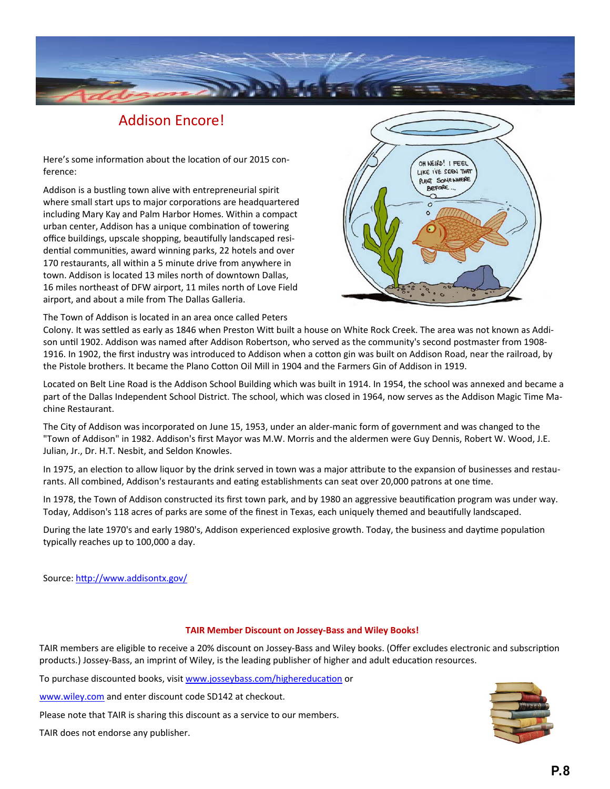

## Addison Encore!

Here's some information about the location of our 2015 conference:

Addison is a bustling town alive with entrepreneurial spirit where small start ups to major corporations are headquartered including Mary Kay and Palm Harbor Homes. Within a compact urban center, Addison has a unique combination of towering office buildings, upscale shopping, beautifully landscaped residential communities, award winning parks, 22 hotels and over 170 restaurants, all within a 5 minute drive from anywhere in town. Addison is located 13 miles north of downtown Dallas, 16 miles northeast of DFW airport, 11 miles north of Love Field airport, and about a mile from The Dallas Galleria.



The Town of Addison is located in an area once called Peters

Colony. It was settled as early as 1846 when Preston Witt built a house on White Rock Creek. The area was not known as Addison until 1902. Addison was named after Addison Robertson, who served as the community's second postmaster from 1908-1916. In 1902, the first industry was introduced to Addison when a cotton gin was built on Addison Road, near the railroad, by the Pistole brothers. It became the Plano Cotton Oil Mill in 1904 and the Farmers Gin of Addison in 1919.

Located on Belt Line Road is the Addison School Building which was built in 1914. In 1954, the school was annexed and became a part of the Dallas Independent School District. The school, which was closed in 1964, now serves as the Addison Magic Time Machine Restaurant.

The City of Addison was incorporated on June 15, 1953, under an alder‐manic form of government and was changed to the "Town of Addison" in 1982. Addison's first Mayor was M.W. Morris and the aldermen were Guy Dennis, Robert W. Wood, J.E. Julian, Jr., Dr. H.T. Nesbit, and Seldon Knowles.

In 1975, an election to allow liquor by the drink served in town was a major attribute to the expansion of businesses and restaurants. All combined, Addison's restaurants and eating establishments can seat over 20,000 patrons at one time.

In 1978, the Town of Addison constructed its first town park, and by 1980 an aggressive beautification program was under way. Today, Addison's 118 acres of parks are some of the finest in Texas, each uniquely themed and beautifully landscaped.

During the late 1970's and early 1980's, Addison experienced explosive growth. Today, the business and daytime population typically reaches up to 100,000 a day.

Source: http://www.addisontx.gov/

### **TAIR Member Discount on Jossey‐Bass and Wiley Books!**

TAIR members are eligible to receive a 20% discount on Jossey-Bass and Wiley books. (Offer excludes electronic and subscription products.) Jossey-Bass, an imprint of Wiley, is the leading publisher of higher and adult education resources.

To purchase discounted books, visit [www.josseybass.com/highereduca](http://www.josseybass.com/highereducation)tion or

www.wiley.com and enter discount code SD142 at checkout.

Please note that TAIR is sharing this discount as a service to our members.

TAIR does not endorse any publisher.

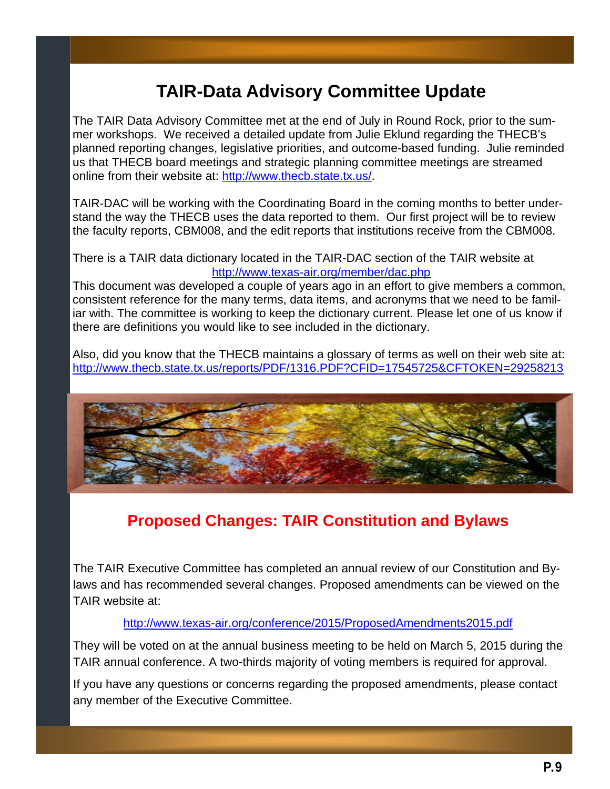# **TAIR-Data Advisory Committee Update**

The TAIR Data Advisory Committee met at the end of July in Round Rock, prior to the summer workshops. We received a detailed update from Julie Eklund regarding the THECB's planned reporting changes, legislative priorities, and outcome-based funding. Julie reminded us that THECB board meetings and strategic planning committee meetings are streamed online from their website at: http://www.thecb.state.tx.us/.

TAIR-DAC will be working with the Coordinating Board in the coming months to better understand the way the THECB uses the data reported to them. Our first project will be to review the faculty reports, CBM008, and the edit reports that institutions receive from the CBM008.

### There is a TAIR data dictionary located in the TAIR-DAC section of the TAIR website at http://www.texas-air.org/member/dac.php

This document was developed a couple of years ago in an effort to give members a common, consistent reference for the many terms, data items, and acronyms that we need to be familiar with. The committee is working to keep the dictionary current. Please let one of us know if there are definitions you would like to see included in the dictionary.

Also, did you know that the THECB maintains a glossary of terms as well on their web site at: http://www.thecb.state.tx.us/reports/PDF/1316.PDF?CFID=17545725&CFTOKEN=29258213



# **Proposed Changes: TAIR Constitution and Bylaws**

The TAIR Executive Committee has completed an annual review of our Constitution and Bylaws and has recommended several changes. Proposed amendments can be viewed on the TAIR website at:

### http://www.texas-air.org/conference/2015/ProposedAmendments2015.pdf

They will be voted on at the annual business meeting to be held on March 5, 2015 during the TAIR annual conference. A two-thirds majority of voting members is required for approval.

If you have any questions or concerns regarding the proposed amendments, please contact any member of the Executive Committee.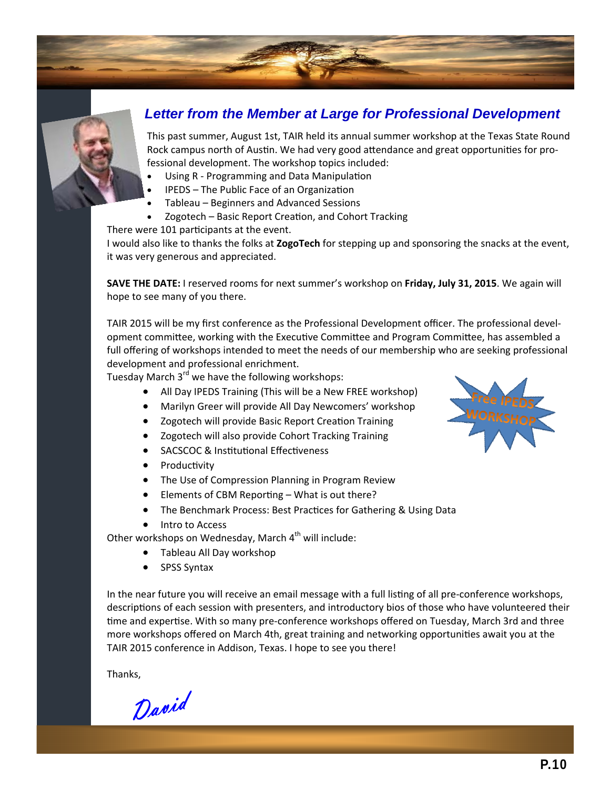## *Letter from the Member at Large for Professional Development*

This past summer, August 1st, TAIR held its annual summer workshop at the Texas State Round Rock campus north of Austin. We had very good attendance and great opportunities for professional development. The workshop topics included:

- Using R Programming and Data Manipulation
- IPEDS The Public Face of an Organization
- Tableau Beginners and Advanced Sessions
- Zogotech Basic Report Creation, and Cohort Tracking

There were 101 participants at the event.

I would also like to thanks the folks at **ZogoTech** for stepping up and sponsoring the snacks at the event, it was very generous and appreciated.

**SAVE THE DATE:** I reserved rooms for next summer's workshop on **Friday, July 31, 2015**. We again will hope to see many of you there.

TAIR 2015 will be my first conference as the Professional Development officer. The professional devel‐ opment committee, working with the Executive Committee and Program Committee, has assembled a full offering of workshops intended to meet the needs of our membership who are seeking professional development and professional enrichment.

Tuesday March 3<sup>rd</sup> we have the following workshops:

- All Day IPEDS Training (This will be a New FREE workshop)
- Marilyn Greer will provide All Day Newcomers' workshop
- Zogotech will provide Basic Report Creation Training
- Zogotech will also provide Cohort Tracking Training
- SACSCOC & Institutional Effectiveness
- Productivity
- The Use of Compression Planning in Program Review
- $\bullet$  Elements of CBM Reporting What is out there?
- The Benchmark Process: Best Practices for Gathering & Using Data
- Intro to Access

Other workshops on Wednesday, March  $4<sup>th</sup>$  will include:

- Tableau All Day workshop
- SPSS Syntax

In the near future you will receive an email message with a full listing of all pre-conference workshops, descriptions of each session with presenters, and introductory bios of those who have volunteered their time and expertise. With so many pre-conference workshops offered on Tuesday, March 3rd and three more workshops offered on March 4th, great training and networking opportunities await you at the TAIR 2015 conference in Addison, Texas. I hope to see you there!

Thanks,

David